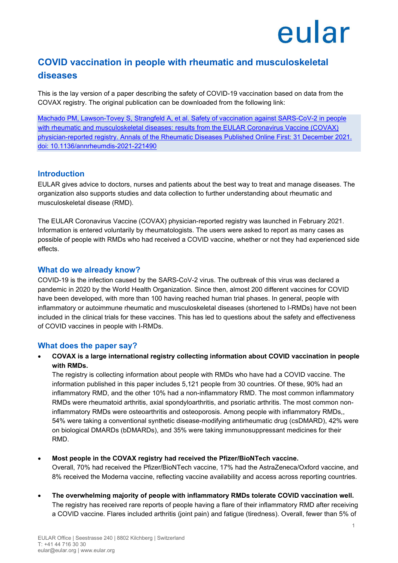## eular

### **COVID vaccination in people with rheumatic and musculoskeletal diseases**

This is the lay version of a paper describing the safety of COVID-19 vaccination based on data from the COVAX registry. The original publication can be downloaded from the following link:

[Machado PM, Lawson-Tovey S, Strangfeld A, et al. Safety of vaccination against SARS-CoV-2 in people](https://ard.bmj.com/content/early/2022/01/04/annrheumdis-2021-221490)  [with rheumatic and musculoskeletal diseases: results from the EULAR Coronavirus Vaccine \(COVAX\)](https://ard.bmj.com/content/early/2022/01/04/annrheumdis-2021-221490)  [physician-reported registry. Annals of the Rheumatic Diseases Published Online First: 31 December 2021.](https://ard.bmj.com/content/early/2022/01/04/annrheumdis-2021-221490)  [doi: 10.1136/annrheumdis-2021-221490](https://ard.bmj.com/content/early/2022/01/04/annrheumdis-2021-221490)

#### **Introduction**

EULAR gives advice to doctors, nurses and patients about the best way to treat and manage diseases. The organization also supports studies and data collection to further understanding about rheumatic and musculoskeletal disease (RMD).

The EULAR Coronavirus Vaccine (COVAX) physician-reported registry was launched in February 2021. Information is entered voluntarily by rheumatologists. The users were asked to report as many cases as possible of people with RMDs who had received a COVID vaccine, whether or not they had experienced side effects.

#### **What do we already know?**

COVID-19 is the infection caused by the SARS-CoV-2 virus. The outbreak of this virus was declared a pandemic in 2020 by the World Health Organization. Since then, almost 200 different vaccines for COVID have been developed, with more than 100 having reached human trial phases. In general, people with inflammatory or autoimmune rheumatic and musculoskeletal diseases (shortened to I-RMDs) have not been included in the clinical trials for these vaccines. This has led to questions about the safety and effectiveness of COVID vaccines in people with I-RMDs.

#### **What does the paper say?**

• **COVAX is a large international registry collecting information about COVID vaccination in people with RMDs.** 

The registry is collecting information about people with RMDs who have had a COVID vaccine. The information published in this paper includes 5,121 people from 30 countries. Of these, 90% had an inflammatory RMD, and the other 10% had a non-inflammatory RMD. The most common inflammatory RMDs were rheumatoid arthritis, axial spondyloarthritis, and psoriatic arthritis. The most common noninflammatory RMDs were osteoarthritis and osteoporosis. Among people with inflammatory RMDs,, 54% were taking a conventional synthetic disease-modifying antirheumatic drug (csDMARD), 42% were on biological DMARDs (bDMARDs), and 35% were taking immunosuppressant medicines for their RMD.

• **Most people in the COVAX registry had received the Pfizer/BioNTech vaccine.**

Overall, 70% had received the Pfizer/BioNTech vaccine, 17% had the AstraZeneca/Oxford vaccine, and 8% received the Moderna vaccine, reflecting vaccine availability and access across reporting countries.

• **The overwhelming majority of people with inflammatory RMDs tolerate COVID vaccination well.** The registry has received rare reports of people having a flare of their inflammatory RMD after receiving a COVID vaccine. Flares included arthritis (joint pain) and fatigue (tiredness). Overall, fewer than 5% of